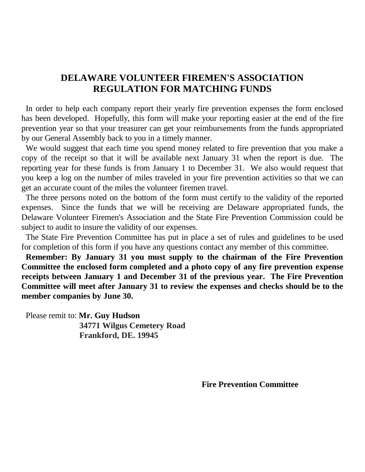In order to help each company report their yearly fire prevention expenses the form enclosed has been developed. Hopefully, this form will make your reporting easier at the end of the fire prevention year so that your treasurer can get your reimbursements from the funds appropriated by our General Assembly back to you in a timely manner.

We would suggest that each time you spend money related to fire prevention that you make a copy of the receipt so that it will be available next January 31 when the report is due. The reporting year for these funds is from January 1 to December 31. We also would request that you keep a log on the number of miles traveled in your fire prevention activities so that we can get an accurate count of the miles the volunteer firemen travel.

The three persons noted on the bottom of the form must certify to the validity of the reported expenses. Since the funds that we will be receiving are Delaware appropriated funds, the Delaware Volunteer Firemen's Association and the State Fire Prevention Commission could be subject to audit to insure the validity of our expenses.

The State Fire Prevention Committee has put in place a set of rules and guidelines to be used for completion of this form if you have any questions contact any member of this committee.

**Remember: By January 31 you must supply to the chairman of the Fire Prevention Committee the enclosed form completed and a photo copy of any fire prevention expense receipts between January 1 and December 31 of the previous year. The Fire Prevention Committee will meet after January 31 to review the expenses and checks should be to the member companies by June 30.**

Please remit to: **Mr. Guy Hudson 34771 Wilgus Cemetery Road Frankford, DE. 19945**

**Fire Prevention Committee**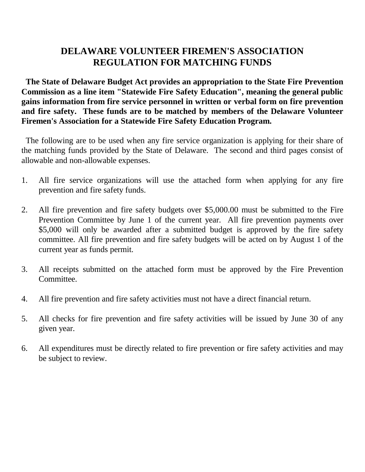**The State of Delaware Budget Act provides an appropriation to the State Fire Prevention Commission as a line item "Statewide Fire Safety Education", meaning the general public gains information from fire service personnel in written or verbal form on fire prevention and fire safety. These funds are to be matched by members of the Delaware Volunteer Firemen's Association for a Statewide Fire Safety Education Program.**

The following are to be used when any fire service organization is applying for their share of the matching funds provided by the State of Delaware. The second and third pages consist of allowable and non-allowable expenses.

- 1. All fire service organizations will use the attached form when applying for any fire prevention and fire safety funds.
- 2. All fire prevention and fire safety budgets over \$5,000.00 must be submitted to the Fire Prevention Committee by June 1 of the current year. All fire prevention payments over \$5,000 will only be awarded after a submitted budget is approved by the fire safety committee. All fire prevention and fire safety budgets will be acted on by August 1 of the current year as funds permit.
- 3. All receipts submitted on the attached form must be approved by the Fire Prevention Committee.
- 4. All fire prevention and fire safety activities must not have a direct financial return.
- 5. All checks for fire prevention and fire safety activities will be issued by June 30 of any given year.
- 6. All expenditures must be directly related to fire prevention or fire safety activities and may be subject to review.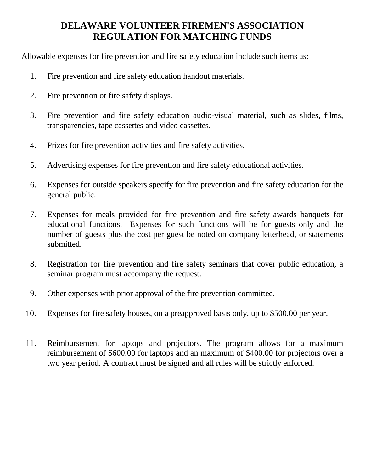Allowable expenses for fire prevention and fire safety education include such items as:

- 1. Fire prevention and fire safety education handout materials.
- 2. Fire prevention or fire safety displays.
- 3. Fire prevention and fire safety education audio-visual material, such as slides, films, transparencies, tape cassettes and video cassettes.
- 4. Prizes for fire prevention activities and fire safety activities.
- 5. Advertising expenses for fire prevention and fire safety educational activities.
- 6. Expenses for outside speakers specify for fire prevention and fire safety education for the general public.
- 7. Expenses for meals provided for fire prevention and fire safety awards banquets for educational functions. Expenses for such functions will be for guests only and the number of guests plus the cost per guest be noted on company letterhead, or statements submitted.
- 8. Registration for fire prevention and fire safety seminars that cover public education, a seminar program must accompany the request.
- 9. Other expenses with prior approval of the fire prevention committee.
- 10. Expenses for fire safety houses, on a preapproved basis only, up to \$500.00 per year.
- 11. Reimbursement for laptops and projectors. The program allows for a maximum reimbursement of \$600.00 for laptops and an maximum of \$400.00 for projectors over a two year period. A contract must be signed and all rules will be strictly enforced.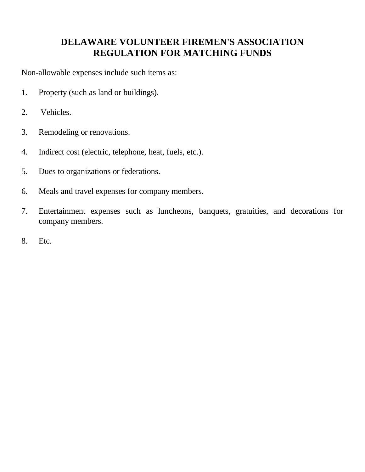Non-allowable expenses include such items as:

- 1. Property (such as land or buildings).
- 2. Vehicles.
- 3. Remodeling or renovations.
- 4. Indirect cost (electric, telephone, heat, fuels, etc.).
- 5. Dues to organizations or federations.
- 6. Meals and travel expenses for company members.
- 7. Entertainment expenses such as luncheons, banquets, gratuities, and decorations for company members.
- 8. Etc.